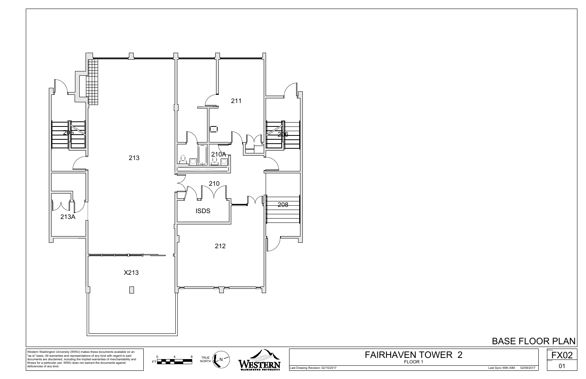

Last Drawing Revision: 02/15/2017 Last Sync With AIM: 02/09/2017



FLOOR 1 FAIRHAVEN TOWER 2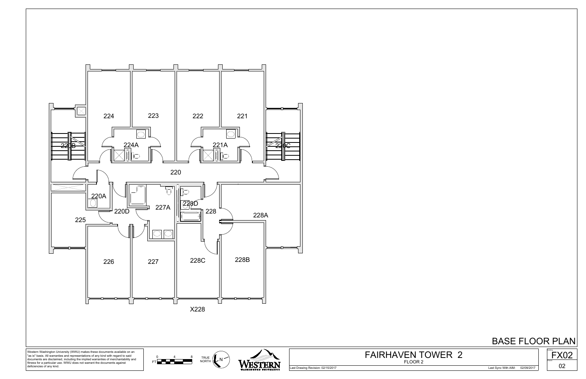





Western Washington University (WWU) makes these documents available on an "as is" basis. All warranties and representations of any kind with regard to said documents are disclaimed, including the implied warranties of merchantability and fitness for a particular use. WWU does not warrant the documents against deficiencies of any kind.

Last Drawing Revision: 02/15/2017 Last Sync With AIM: 02/09/2017



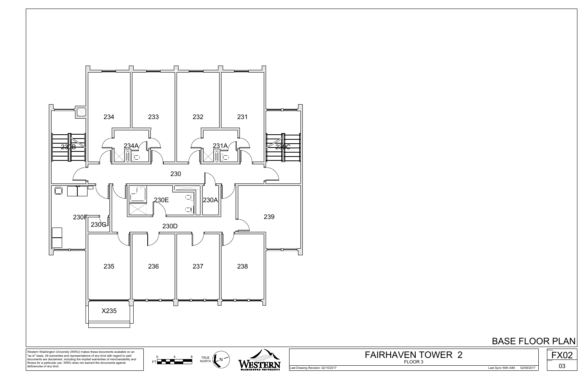

Last Drawing Revision: 02/15/2017 Last Sync With AIM: 02/09/2017



FLOOR 3 FAIRHAVEN TOWER 2